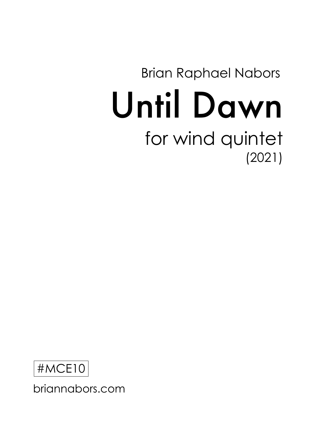## Until Dawn for wind quintet  $(2021)$ Brian Raphael Nabors



briannabors.com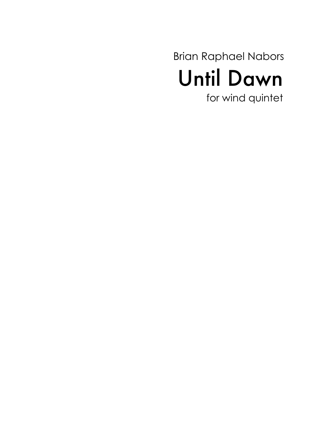Until Dawn for wind quintet Brian Raphael Nabors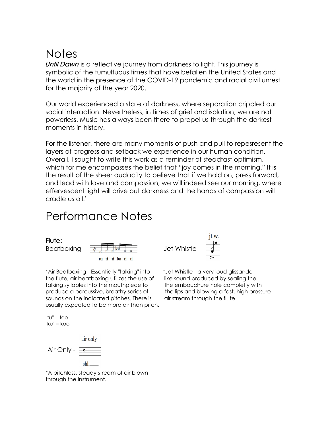## **Notes**

Until Dawn is a reflective journey from darkness to light. This journey is symbolic of the tumultuous times that have befallen the United States and the world in the presence of the COVID-19 pandemic and racial civil unrest for the majority of the year 2020.

Our world experienced a state of darkness, where separation crippled our social interaction. Nevertheless, in times of grief and isolation, we are not powerless. Music has always been there to propel us through the darkest moments in history.

For the listener, there are many moments of push and pull to repesresent the layers of progress and setback we experience in our human condition. Overall, Isought to write this work as a reminder of steadfast optimism, which for me encompasses the belief that "joy comes in the morning." It is the result of the sheer audacity to believe that if we hold on, press forward, and lead with love and compassion, we will indeed see our morning, where effervescent light will drive out darkness and the hands of compassion will cradle us all."

## Performance Notes



tu-ti-ti ka-ti-ti

\*Air Beatboxing - Essentially "talking" into \*Jet Whistle - a very loud glissando the flute, air beatboxing utilizes the use of like sound produced by sealing the talking syllables into the mouthpiece to the embouchure hole completly with produce a percussive, breathy series of the lipsand blowing a fast, high pressure sounds on the indicated pitches. There is air stream through the flute. usually expected to be more air than pitch.

 $\mathbf{it}$ .w.

" $tv$ " =  $to$ "ku" = koo

air only Air Only shh.

\*A pitchless, steady stream of air blown through the instrument.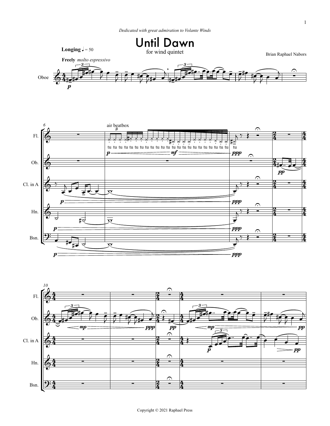



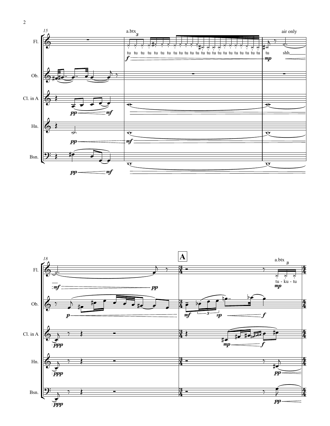



 $\overline{c}$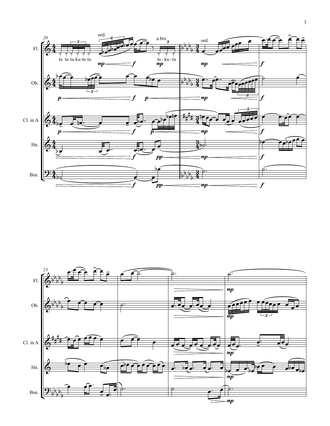

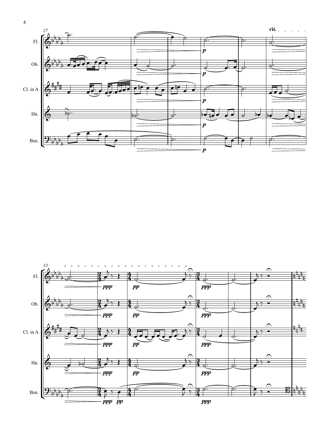

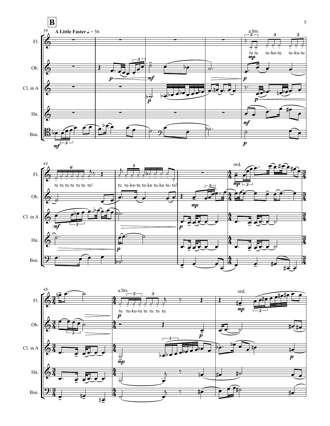



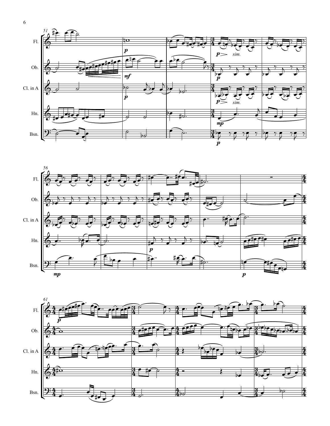



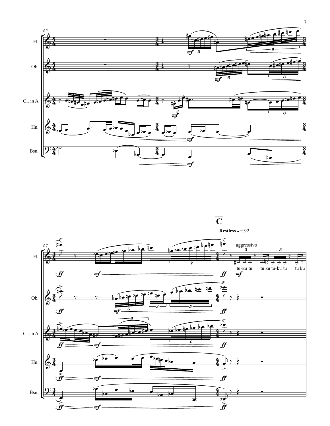



7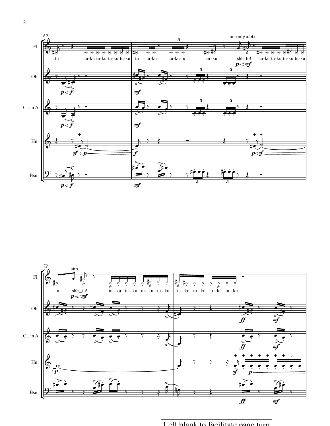



Left blank to facilitate page turn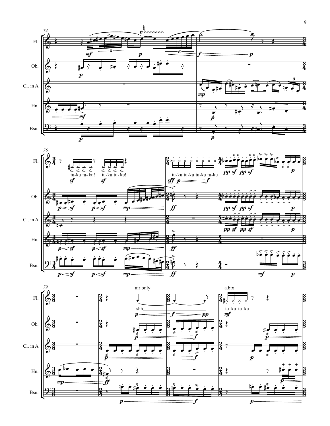



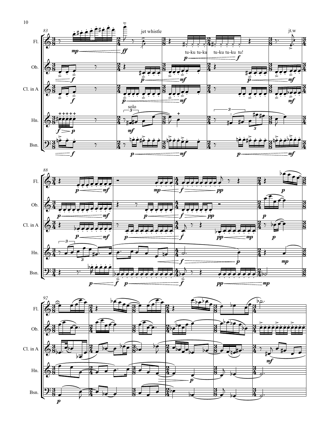



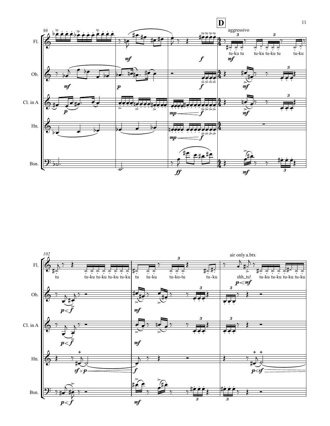

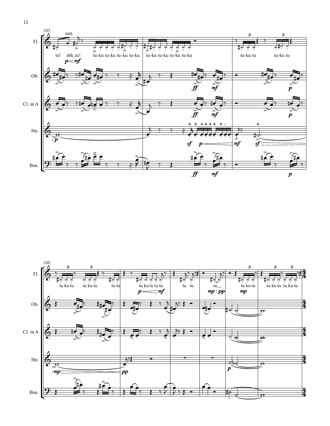



 $12\,$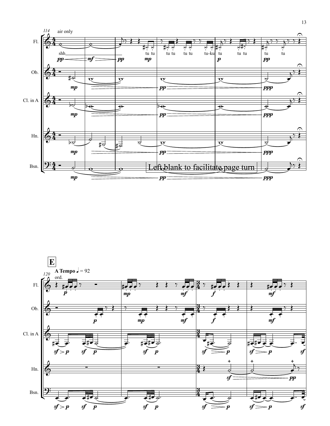

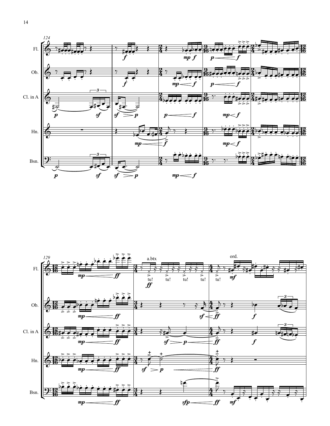

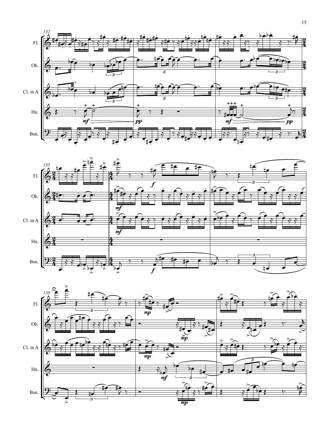



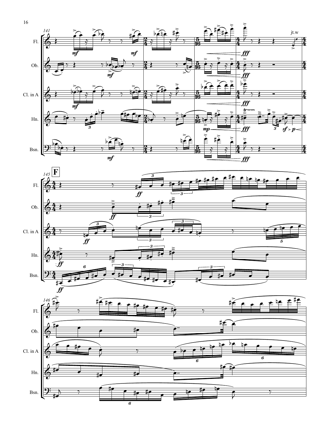



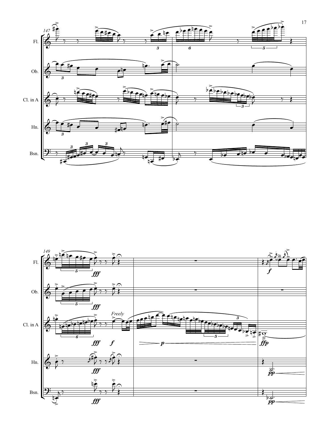

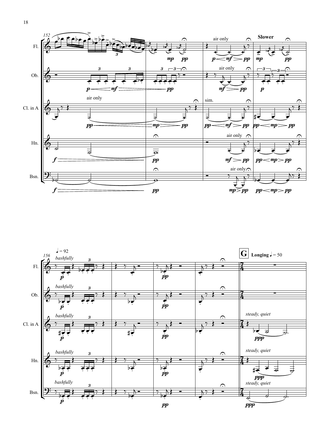

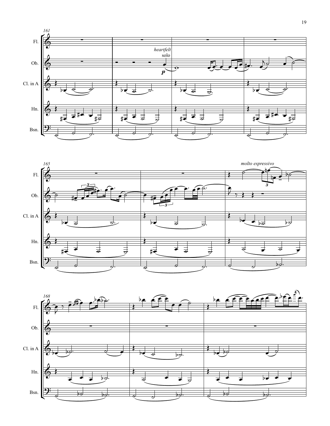



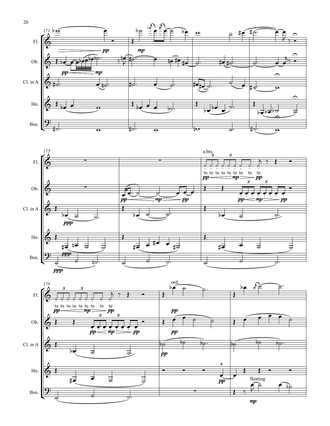



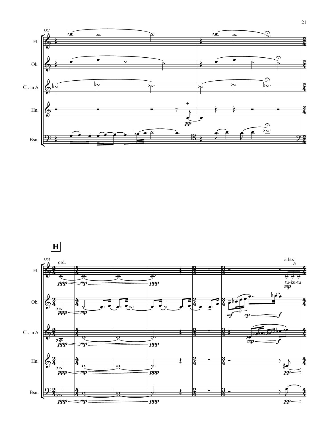

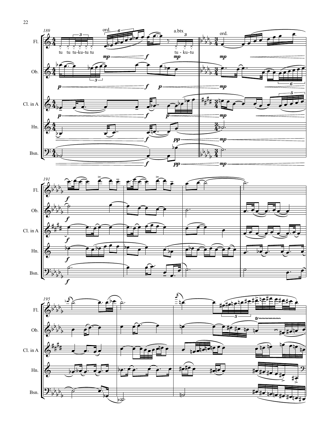



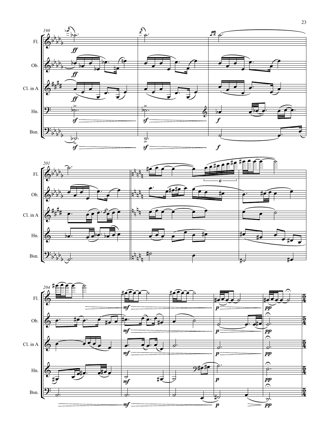





23